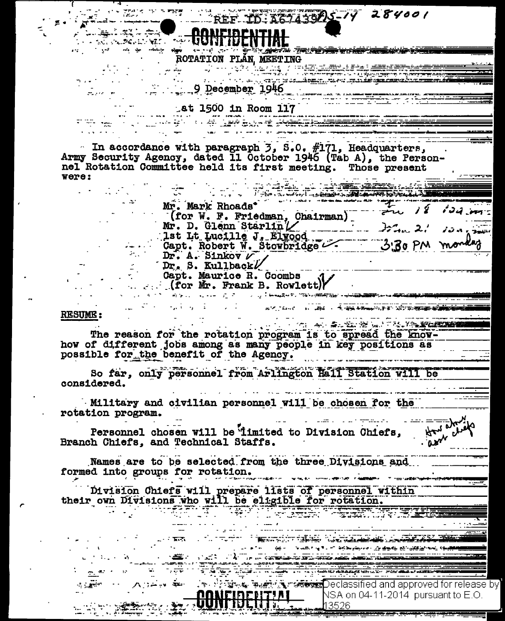**ELLERGE TO: A67439AS-14 284001 Constant Confidential** <u> Azira Terzenik yoko kimiko kelik</u> ديا ترين الإيام سها المعروفة الموسيقة المواريقين ROTATION PLAN, MEETING and the complete the second control of the complete the control of the control of the control of the control of  $-9$  December 1946 **4t 1500 in Room 117**  $\overline{\mathbf{w}} = \begin{bmatrix} \mathbf{w}_1 & \mathbf{w}_2 & \mathbf{w}_3 & \mathbf{w}_4 \\ \mathbf{w}_1 & \mathbf{w}_2 & \mathbf{w}_3 & \mathbf{w}_4 \end{bmatrix}$ **The Contract of the Secretary Andrew Contract of the Contract of the Contract of the Contract of the Contract o** In accordance with paragraph  $3, 8.0, #171,$  Headquarters, Army Security Agency, dated Il October 1946 (Tab A), the Personnel Rotation Committee held its first meeting. Those present were: Mr. Mark Rhoads<sup>\*</sup>  $124.$   $\mu$  $\sum_{i=1}^n$ (for W. F. Friedman, Chairman) Mr. D. Glenn Starlin / 1997. 2. 1998.<br>1st Lt Lucille J. Elwood. 3. 3. 3. mon. 2. 1998. Dr. A. Sinkov  $\nu$ Dr. S. Kullback Capt. Maurice R. Coombs  $(for Mr. Frank B. Rowlet)$ **ALL AND AND ALL AND ADDRESS TO A RESIDENCE RESUME :** THE AN ANGEL SEARCH TRANSPORTER The reason for the rotation program is to spread the knowhow of different jobs among as many people in key positions as possible for the benefit of the Agency. So far, only personnel from Arlington Hall Station will be considered. Military and civilian personnel will be chosen for the rotation program.  $8 - \frac{1}{2}$ Personnel chosen will be imited to Division Chiefs, Branch Chiefs, and Technical Staffs. Names are to be selected from the three Divisions and formed into groups for rotation. Division Chiefs will prepare lists of personnel within their own Divisions who will be eligible for rotation. **ENGINEERING CONTRACTOR** .<br>இந்த பாட்டியாக பிரிவியின் பெருக்கு இருந்து இருந்து இருந்து விருக்கும் பிரிவியின் பிரிவியின் போட்டு இருந்து இரு  $\frac{1}{2}$  ,  $\frac{1}{2}$  ,  $\frac{1}{2}$  ,  $\frac{1}{2}$  ,  $\frac{1}{2}$  ,  $\frac{1}{2}$  ,  $\frac{1}{2}$  ,  $\frac{1}{2}$  ,  $\frac{1}{2}$  ,  $\frac{1}{2}$  ,  $\frac{1}{2}$  ,  $\frac{1}{2}$  ,  $\frac{1}{2}$  ,  $\frac{1}{2}$  ,  $\frac{1}{2}$  ,  $\frac{1}{2}$  ,  $\frac{1}{2}$  ,  $\frac{1}{2}$  ,  $\frac{1$ <u>Táis Lá Alban Albasanach ann</u> NONFIREDITINI NSA on 04-11-2014 pursuant to E.O. 43526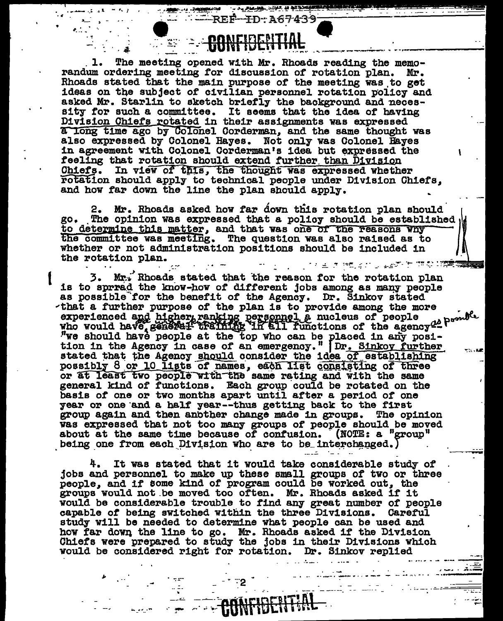The meeting opened with Mr. Rhoads reading the memo-1. randum ordering meeting for discussion of rotation plan. Mr. Rhoads stated that the main purpose of the meeting was to get ideas on the subject of civilian personnel rotation policy and asked Mr. Starlin to sketch briefly the background and necessity for such a committee. It seems that the idea of having Division Chiefs rotated in their assignments was expressed a long time ago by Colonel Corderman, and the same thought was also expressed by Colonel Hayes. Not only was Colonel Hayes in agreement with Colonel Corderman's idea but expressed the feeling that rotation should extend further than Division Chiefs. In view of this, the thought was expressed whether rotation should apply to technical people under Division Chiefs. and how far down the line the plan should apply.

NONEIRENTI

-REF-

A PLACE COOL OF THE POST OF ID-A67439-

2. Mr. Rhoads asked how far down this rotation plan should go. The opinion was expressed that a policy should be established. to determine this matter, and that was one of the reasons why the committee was meeting. The question was also raised as to whether or not administration positions should be included in the rotation plan. リーンフェラ Mstrg フェダ ヒアウロ酸(素)

3. Mr. Rhoads stated that the reason for the rotation plan is to sprrad the know-how of different jobs among as many people as possible for the benefit of the Agency. Dr. Sinkov stated that a further purpose of the plan is to provide among the more experienced and higher ranking personnel a nucleus of people<br>who would have general training in all functions of the agency a power we should have people at the top who can be placed in any posi-<br>tion in the Agency in case stated that the Agency should consider the idea of establishing possibly 8 or 10 lists of names, each list consisting of three or at least two people with the same rating and with the same general kind of functions. Each group could be rotated on the basis of one or two months apart until after a period of one year or one and a half year--thus getting back to the first group again and then another change made in groups. The opinion was expressed that not too many groups of people should be moved about at the same time because of confusion. (NOTE: a "group" being one from each Division who are to be interchanged.)

It was stated that it would take considerable study of jobs and personnel to make up these small groups of two or three people, and if some kind of program could be worked out, the groups would not be moved too often. Mr. Rhoads asked if it would be considerable trouble to find any great number of people capable of being switched within the three Divisions. Careful study will be needed to determine what people can be used and how far down the line to go. Mr. Rhoads asked if the Division Chiefs were prepared to study the jobs in their Divisions which would be considered right for rotation. Dr. Sinkov replied

**CONFIDENT**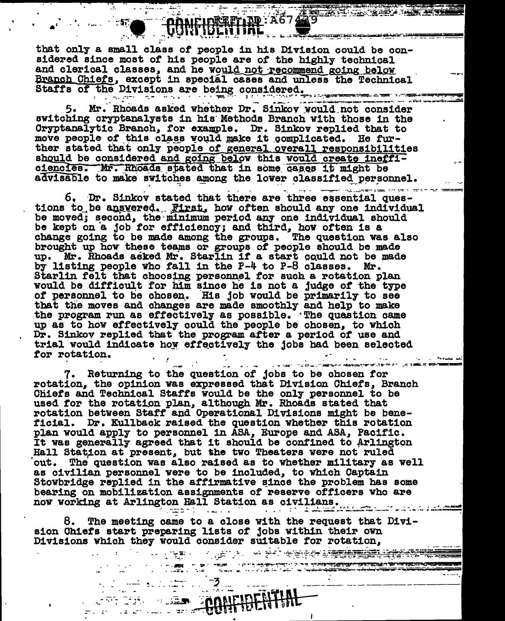## CONFIDENTIAL A6748

 $-57$   $\blacksquare$ 

a a shekara ta 1989 a wasan ƙas<del>ar ƙasar</del> ƙasar Ingila.<br>'Yan a ƙasar Ingila a ƙasar Ingila a ƙasar ƙasar ƙasar ƙasar ƙasar ƙasar ƙasar ƙasar ƙasar ƙasar ƙasar ƙasar ƙ

that only a small class of people in his Division could be considered since most of his people are of the highly technical and clerical classes, and he would not recommend going below Branch Chiefs, except in special cases and unless the Technical Staffs of the Divisions are being considered.

5. Mr. Rhoads asked whether Dr. Sinkov would not consider switching cryptanalysts in his Methods Branch with those in the Cryptanalytic Branch, for example. Dr. Sinkov replied that to move people of this class would make it complicated. He further stated that only people of general overall responsibilities should be considered and going below this would create inefficiencies. Mr. Rhoads stated that in some cases it might be advisable to make switches among the lower classified personnel.

and the company contractor of the contract of the contract of the contract of the contract of the contract of the contract of the contract of the contract of the contract of the contract of the contract of the contract of 6. Dr. Sinkov stated that there are three essential questions to be answered. First, how often should any one individual be moved; second, the minimum period any one individual should be kept on a job for efficiency; and third, how often is a change going to be made among the groups. The question was also brought up how these teams or groups of people should be made up. Mr. Rhoads asked Mr. Starlin if a start could not be made by listing people who fall in the P-4 to P-8 classes. Mr. Starlin felt that choosing personnel for such a rotation plan would be difficult for him since he is not a judge of the type of personnel to be chosen. His job would be primarily to see that the moves and changes are made smoothly and help to make the program run as effectively as possible. The quastion came up as to how effectively could the people be chosen, to which Dr. Sinkov replied that the program after a period of use and trial would indicate how effectively the jobs had been selected for rotation.  $\mathbf{v} = \mathbf{u} \in \mathbb{R}^{d \times d}$ 

7. Returning to the question of jobs to be chosen for rotation, the opinion was expressed that Division Chiefs, Branch Chiefs and Technical Staffs would be the only personnel to be used for the rotation plan, although Mr. Rhoads stated that rotation between Staff and Operational Divisions might be beneficial. Dr. Kullback raised the question whether this rotation plan would apply to personnel in ASA, Europe and ASA, Pacific. It was generally agreed that it should be confined to Arlington Hall Station at present, but the two Theaters were not ruled out. The question was also raised as to whether military as well as civilian personnel were to be included, to which Captain Stowbridge replied in the affirmative since the problem has some bearing on mobilization assignments of reserve officers who are now working at Arlington Hall Station as civilians.

8. The meeting came to a close with the request that Division Chiefs start preparing lists of jobs within their own Divisions which they would consider suitable for rotation,

 $\ldots$  =  $\ldots$  =  $\ldots$  =  $\frac{3}{2}$ 

**CONFIDENTIA** 

<u> 1999 - Santa Barat yang bertama da</u>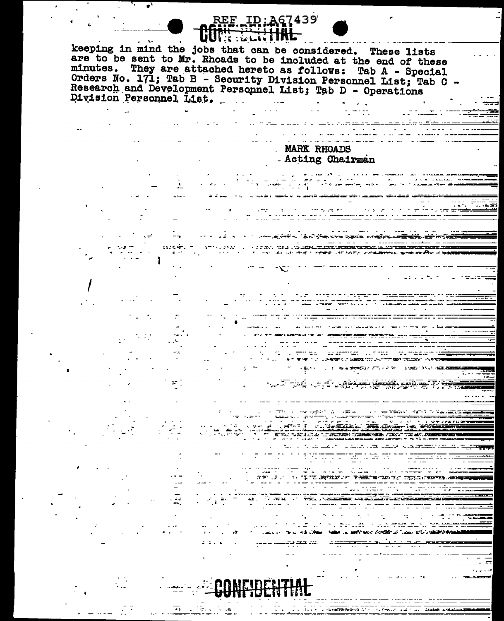### REE ID: A67439 سامة: 12% keeping in mind the jobs that can be considered. These lists are to be sent to Mr. Rhoads to be included at the end of these minutes. They are attached hereto as follows: Tab A - Special Orders No. 171; Tab B - Security Division Personnel List; Tab C -Research and Development Personnel List; Tab D - Operations Division Personnel List.

#### MARK RHOADS - Acting Chairman

.<br>President in the project of the contract of the contract of the contract of the contract of the contract of th nte la cola lame. 

**CALINATIC STATE** 

ਤ

a gan a bheanna an airson ann an ainm an air

a di secondo della conservazione di **BARRY AT LEASE TELL AT** 

 $\mathbf{z}$  ,  $\mathbf{z}$  ,

sek ora kan بترجع ويتجعلع بعجاب

**CONTRACTOR**  $\sim$   $\sim$  $\mathbf{r}$ 

ni sariwa  $-7.522373720$ **START HERE** ATENSIS 72745.700

- ಕಿಸರಿಷ T. DYTALY - Y TARAR-AZZA (TILLATERAR)

<u> 27 J.C. Green av</u>



**Continued**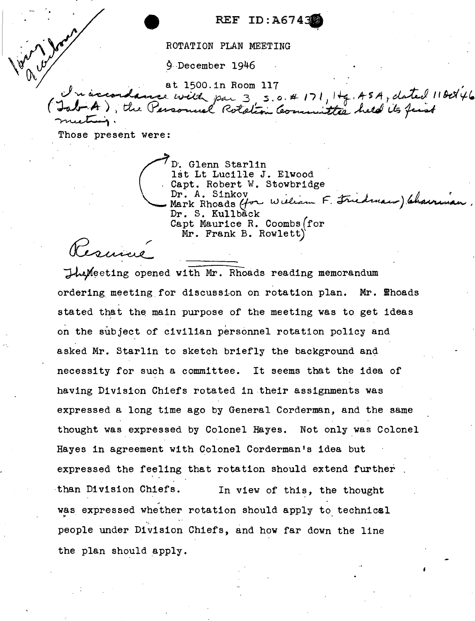REF ID:A6743

ROTATION PLAN MEETING

9 December 1946

at. 1500. in Room 117<br>*J v accordance with par 3*, s.o. # 171, 1+g, 45A, dated 11*00*146 at 1500. In Room 117<br>Jab A), the Personnel Potation Committee held its first

Those present were:

 $\sqrt{\frac{1}{n}y^2}$ 

(

D·. Glenn Starlin 1st Lt Lucille J. Elwood Capt. Robert W. Stowbridge<br>Dr. A. Sinkov D. Glenn Starlin<br>lst Lt Lucille J. Elwood<br>Capt. Robert W. Stowbridge<br>Dr. A. Sinkov<br>Mark Rhoads (for William F. Friedwam) Chairing D. Glenn Starlin<br>lst Lt Lucille J. Elwood<br>Capt. Robert W. Stowbridge<br>Dr. A. Sinkov<br>Mark Rhoads (for Wieliam F. Friedmann) (channian,<br>Dr. S. Kullback Dr. S. Kullback Capt Maurice R. Coombs(for Mr. Frank B. Rowlett)

amire

 $\Delta M$ eeting opened with Mr. Rhoads reading memorandum ordering meeting for discussion on rotation plan. Mr. *Ehoads* stated that the main purpose of the meeting was to get ideas on the subject of civilian personnel rotation policy and asked Mr. Starlin to sketch briefly the background and necessity for such a committee. It seems that the idea of having Division Chiefs rotated in their assignments was expressed a long time ago by General Corderman, and the same thought was expressed by Colonel Hayes. Not only was Colonel Hayes in agreement with Colonel Corderman's idea but expressed the feeling that rotation should extend further -than Division Chiefs. In view of this, the thought ~ was expressed whether rotation should apply to technical " people under Division Chiefs, and how far down the line the plan should apply.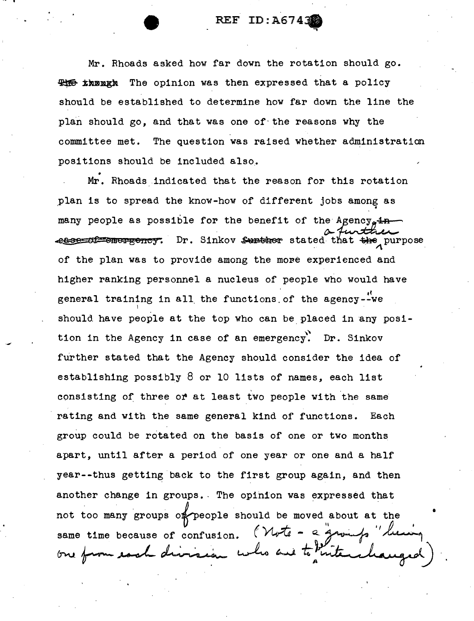Mr. Rhoads asked how far down the rotation should go. **#16 insugh** The opinion was then expressed that a policy should be established to determine how far down the line the plan should go, and that was one of the reasons why the committee met. The question was raised whether administration positions should be included also.

Mr. Rhoads indicated that the reason for this rotation plan is to spread the know-how of different jobs among as many people as possible for the benefit of the Agency. $\pm n$ .esse of emergency. Dr. Sinkov surther stated that the purpose of the plan was to provide among the more experienced and higher ranking personnel a nucleus of people who would have general training in all the functions of the agency--we should. have people at the top who can be placed in any posi tion in the Agency in case of an emergency. Dr. Sinkov further stated that the Agency should consider the idea of establishing possibly 8 or 10 lists of names, each list consisting of three or at least two people with the same rating and with the same general kind of functions. Each group could be rotated on the basis of one or two months apart, until after a period of one year or one and a half year--thus getting back to the first group again, and then another change in groups. The opinion was expressed that not too many groups of people should be moved about at the same time because of confusion. *(Wote - a grounds* one from each division who are to kite

.,-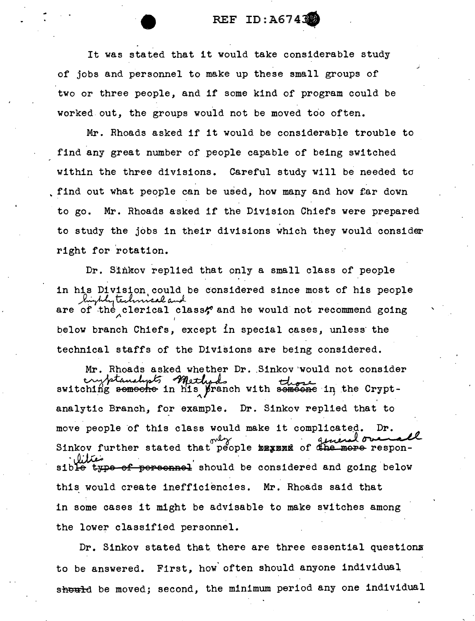#### REF ID: A6743

It was stated that it would take considerable study of jobs and personnel to make up these small groups of two or three people, and if some kind of program could be worked out, the groups would not be moved too often.

Mr. Rhoads asked if it would be considerable trouble to find any great number of people capable of being switched within the three divisions. Careful study will be needed to find out what people can be used, how many and how far down to go. Mr. Rhoads asked if the Division Chiefs were prepared to study the jobs in their divisions which they would consider right for rotation.

Dr. Sinkov replied that only a small class of people in his 1s Division could be con<br>highly technical and<br>of the clerical classes Division could be considered since most of his people highly technical and<br>are of the clerical class; and he would not recommend going below branch Chiefs, except in special cases, unless· the technical staffs of the Divisions are being considered.

Mr. Rhoads asked whether Dr. Sinkov would not consider<br>unbitanalisty motherly formed there switching semeche in his pranch with semeche in the Cryptanalytic Branch, for example. Dr. Sinkov replied that to move people of this class would make it complicated. Dr.<br>Sinkov further stated that people may added more responsible type of personnel should be considered and going below this would create inefficiencies. Mr. Rhoads said that in some cases it might be advisable to make switches among the lower classified personnel.

Dr. Sinkov stated that. there are three essential questionx to be answered. First, how· often should anyone individual should be moved; second, the minimum period any one individual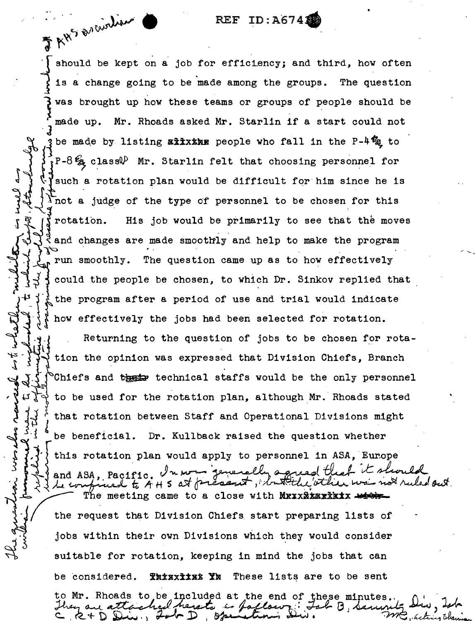#### REF ID:A6743

F RWS Drainliens

Į

حە

J,

should be kept on a job for efficiency; and third, how often is a change going to be made among the groups. The question } was brought up how these teams or groups of people should be Mr. Rhoads asked Mr. Starlin if a start could not made up. be made by listing axxxxx people who fall in the P-4% to  $\mathcal{F}_R$ P-8 $\mathcal{G}_R$  class $\mathcal{P}$  Mr. Starlin felt that choosing personnel for jsuch a rotation plan would be difficult for him since he is Inot a judge of the type of personnel to be chosen for this His job would be primarily to see that the moves **dirication.** and changes are made smoothly and help to make the program run smoothly. The question came up as to how effectively d could the people be chosen, to which Dr. Sinkov replied that the program after a period of use and trial would indicate how effectively the jobs had been selected for rotation. Returning to the question of jobs to be chosen for rota- $\S$  tion the opinion was expressed that Division Chiefs, Branch {Chiefs and these technical staffs would be the only personnel

to be used for the rotation plan, although Mr. Rhoads stated

that rotation between Staff and Operational Divisions might

be beneficial. Dr. Kullback raised the question whether

this rotation plan would apply to personnel in ASA, Europe

Un nom generally a and ASA. Pacific. busin the ruled out  $A + S$  at precent,  $A$ The meeting came to a close with MEXXXXXXXXXXX the request that Division Chiefs start preparing lists of jobs within their own Divisions which they would consider suitable for rotation, keeping in mind the jobs that can Thinxits Yn These lists are to be sent be considered. to Mr. Rhoads to be included at the end of these minutes.

یلا اہ